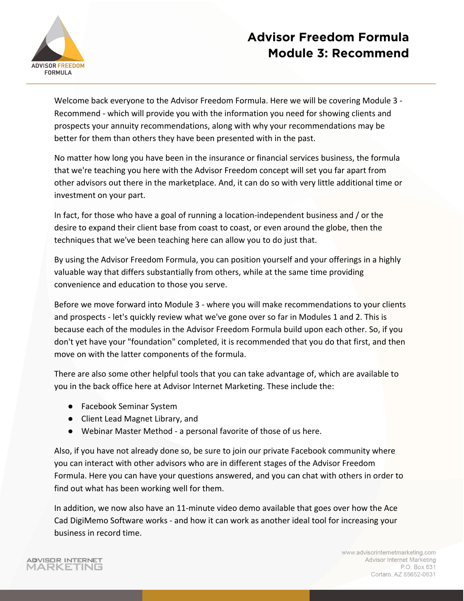

Welcome back everyone to the Advisor Freedom Formula. Here we will be covering Module 3 - Recommend - which will provide you with the information you need for showing clients and prospects your annuity recommendations, along with why your recommendations may be better for them than others they have been presented with in the past.

No matter how long you have been in the insurance or financial services business, the formula that we're teaching you here with the Advisor Freedom concept will set you far apart from other advisors out there in the marketplace. And, it can do so with very little additional time or investment on your part.

In fact, for those who have a goal of running a location-independent business and / or the desire to expand their client base from coast to coast, or even around the globe, then the techniques that we've been teaching here can allow you to do just that.

By using the Advisor Freedom Formula, you can position yourself and your offerings in a highly valuable way that differs substantially from others, while at the same time providing convenience and education to those you serve.

Before we move forward into Module 3 - where you will make recommendations to your clients and prospects - let's quickly review what we've gone over so far in Modules 1 and 2. This is because each of the modules in the Advisor Freedom Formula build upon each other. So, if you don't yet have your "foundation" completed, it is recommended that you do that first, and then move on with the latter components of the formula.

There are also some other helpful tools that you can take advantage of, which are available to you in the back office here at Advisor Internet Marketing. These include the:

- Facebook Seminar System
- Client Lead Magnet Library, and
- Webinar Master Method a personal favorite of those of us here.

Also, if you have not already done so, be sure to join our private Facebook community where you can interact with other advisors who are in different stages of the Advisor Freedom Formula. Here you can have your questions answered, and you can chat with others in order to find out what has been working well for them.

In addition, we now also have an 11-minute video demo available that goes over how the Ace Cad DigiMemo Software works - and how it can work as another ideal tool for increasing your business in record time.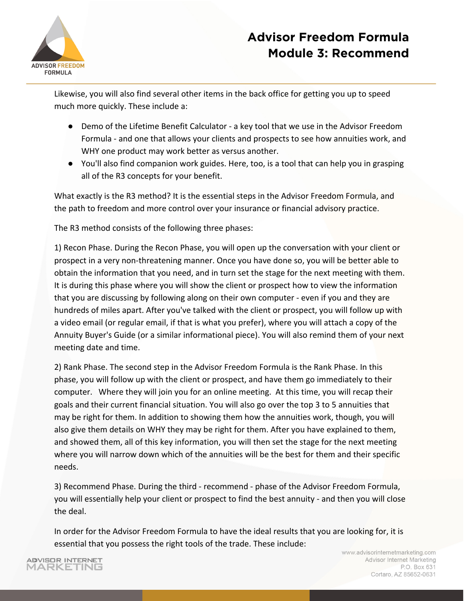

Likewise, you will also find several other items in the back office for getting you up to speed much more quickly. These include a:

- Demo of the Lifetime Benefit Calculator a key tool that we use in the Advisor Freedom Formula - and one that allows your clients and prospects to see how annuities work, and WHY one product may work better as versus another.
- You'll also find companion work guides. Here, too, is a tool that can help you in grasping all of the R3 concepts for your benefit.

What exactly is the R3 method? It is the essential steps in the Advisor Freedom Formula, and the path to freedom and more control over your insurance or financial advisory practice.

The R3 method consists of the following three phases:

1) Recon Phase. During the Recon Phase, you will open up the conversation with your client or prospect in a very non-threatening manner. Once you have done so, you will be better able to obtain the information that you need, and in turn set the stage for the next meeting with them. It is during this phase where you will show the client or prospect how to view the information that you are discussing by following along on their own computer - even if you and they are hundreds of miles apart. After you've talked with the client or prospect, you will follow up with a video email (or regular email, if that is what you prefer), where you will attach a copy of the Annuity Buyer's Guide (or a similar informational piece). You will also remind them of your next meeting date and time.

2) Rank Phase. The second step in the Advisor Freedom Formula is the Rank Phase. In this phase, you will follow up with the client or prospect, and have them go immediately to their computer. Where they will join you for an online meeting. At this time, you will recap their goals and their current financial situation. You will also go over the top 3 to 5 annuities that may be right for them. In addition to showing them how the annuities work, though, you will also give them details on WHY they may be right for them. After you have explained to them, and showed them, all of this key information, you will then set the stage for the next meeting where you will narrow down which of the annuities will be the best for them and their specific needs.

3) Recommend Phase. During the third - recommend - phase of the Advisor Freedom Formula, you will essentially help your client or prospect to find the best annuity - and then you will close the deal.

In order for the Advisor Freedom Formula to have the ideal results that you are looking for, it is essential that you possess the right tools of the trade. These include:

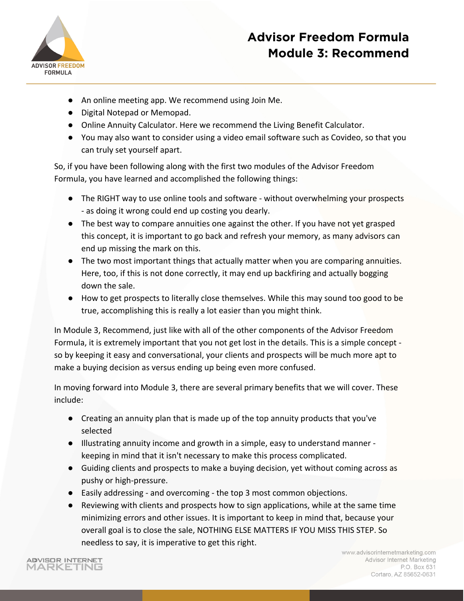

- An online meeting app. We recommend using Join Me.
- Digital Notepad or Memopad.
- Online Annuity Calculator. Here we recommend the Living Benefit Calculator.
- You may also want to consider using a video email software such as Covideo, so that you can truly set yourself apart.

So, if you have been following along with the first two modules of the Advisor Freedom Formula, you have learned and accomplished the following things:

- The RIGHT way to use online tools and software without overwhelming your prospects - as doing it wrong could end up costing you dearly.
- The best way to compare annuities one against the other. If you have not yet grasped this concept, it is important to go back and refresh your memory, as many advisors can end up missing the mark on this.
- The two most important things that actually matter when you are comparing annuities. Here, too, if this is not done correctly, it may end up backfiring and actually bogging down the sale.
- How to get prospects to literally close themselves. While this may sound too good to be true, accomplishing this is really a lot easier than you might think.

In Module 3, Recommend, just like with all of the other components of the Advisor Freedom Formula, it is extremely important that you not get lost in the details. This is a simple concept so by keeping it easy and conversational, your clients and prospects will be much more apt to make a buying decision as versus ending up being even more confused.

In moving forward into Module 3, there are several primary benefits that we will cover. These include:

- Creating an annuity plan that is made up of the top annuity products that you've selected
- Illustrating annuity income and growth in a simple, easy to understand manner keeping in mind that it isn't necessary to make this process complicated.
- Guiding clients and prospects to make a buying decision, yet without coming across as pushy or high-pressure.
- Easily addressing and overcoming the top 3 most common objections.
- Reviewing with clients and prospects how to sign applications, while at the same time minimizing errors and other issues. It is important to keep in mind that, because your overall goal is to close the sale, NOTHING ELSE MATTERS IF YOU MISS THIS STEP. So needless to say, it is imperative to get this right.

**ADVISOR INTERNET** MARKETING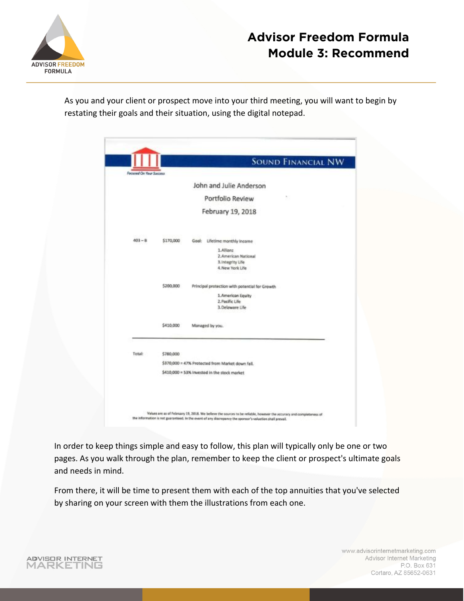

As you and your client or prospect move into your third meeting, you will want to begin by restating their goals and their situation, using the digital notepad.

|                         |                                                  | <b>SOUND FINANCIAL NW</b>                      |  |  |  |
|-------------------------|--------------------------------------------------|------------------------------------------------|--|--|--|
| Focused On Neur Success |                                                  |                                                |  |  |  |
|                         |                                                  | John and Julie Anderson                        |  |  |  |
|                         |                                                  | Portfolio Review                               |  |  |  |
|                         |                                                  | February 19, 2018                              |  |  |  |
|                         |                                                  |                                                |  |  |  |
| $403 - 8$               | \$170,000                                        | Lifetime monthly income<br>Goal:               |  |  |  |
|                         |                                                  | 1. Allianz<br>2. American National             |  |  |  |
|                         |                                                  | 3. Integrity Life                              |  |  |  |
|                         |                                                  | 4. New York Life                               |  |  |  |
|                         | \$200,000                                        | Principal protection with potential for Growth |  |  |  |
|                         |                                                  | 1. American Equity                             |  |  |  |
|                         |                                                  | 2. Pacific Life<br>3. Delaware Life            |  |  |  |
|                         | \$410,000                                        | Managed by you.                                |  |  |  |
|                         |                                                  |                                                |  |  |  |
| Total:                  | \$780,000                                        |                                                |  |  |  |
|                         | \$370,000 = 47% Protected from Market down fall. |                                                |  |  |  |
|                         |                                                  | \$410,000 = 53% invested in the stock market   |  |  |  |
|                         |                                                  |                                                |  |  |  |
|                         |                                                  |                                                |  |  |  |

In order to keep things simple and easy to follow, this plan will typically only be one or two pages. As you walk through the plan, remember to keep the client or prospect's ultimate goals and needs in mind.

From there, it will be time to present them with each of the top annuities that you've selected by sharing on your screen with them the illustrations from each one.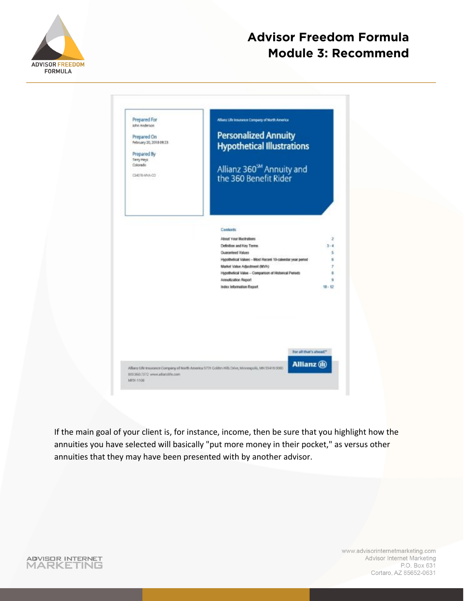

| Prepared For<br>John Anderson   | Allianz Life Insurance Company of North America.                                                                     |
|---------------------------------|----------------------------------------------------------------------------------------------------------------------|
| Prepared On                     | <b>Personalized Annuity</b>                                                                                          |
| February 20, 2018 09:23         | <b>Hypothetical Illustrations</b>                                                                                    |
| Prepared By                     |                                                                                                                      |
| Terry Heys                      |                                                                                                                      |
| Colorado                        | Allianz 360 <sup>9M</sup> Annuity and                                                                                |
| C\$4370-MVA-CO                  | the 360 Benefit Rider                                                                                                |
|                                 |                                                                                                                      |
|                                 |                                                                                                                      |
|                                 |                                                                                                                      |
|                                 | <b>Contents</b>                                                                                                      |
|                                 | About Your Illustrations<br>z                                                                                        |
|                                 | Definition and Key Terms<br>$3 - 4$                                                                                  |
|                                 | s<br>Guaranteed Values                                                                                               |
|                                 | ×<br>Hypothetical Values - Most Recent 10-calendar year pened -                                                      |
|                                 | Market Value Adjustment (MVA)-<br>r                                                                                  |
|                                 | Hypothetical Value - Comparison of Historical Periods<br>ž                                                           |
|                                 | Annultzation Report<br>÷<br>Index Information Report<br>$10 - 12$                                                    |
|                                 |                                                                                                                      |
|                                 |                                                                                                                      |
|                                 |                                                                                                                      |
|                                 |                                                                                                                      |
|                                 |                                                                                                                      |
|                                 | For all that's aboad."                                                                                               |
|                                 | Allianz (ii)<br>Allianz Life Insurance Company of North America 5701 Colden Hills Drive, Minneapolis, MN 55418-0080. |
|                                 |                                                                                                                      |
| 800,950.7372 www.allanzlife.com |                                                                                                                      |

If the main goal of your client is, for instance, income, then be sure that you highlight how the annuities you have selected will basically "put more money in their pocket," as versus other annuities that they may have been presented with by another advisor.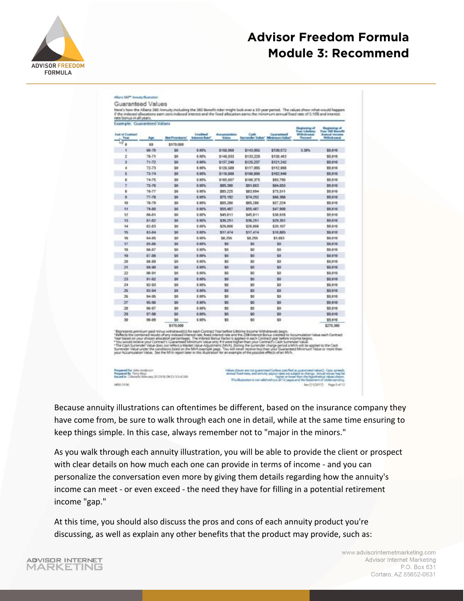

|           | Age       | <b>Net Premiums</b> | Craditori<br><b>Millenoval Radio</b> | <b>Accounts Editor</b><br><b>Value</b> | Cash<br><b>But render Value</b> | Countries<br>Minimum Value? | <b>Registrary of</b><br><b>Tear Lifetane</b><br><b>Mitchellena</b><br>Percent | <b>Engineering of</b><br>Your 260 December<br>Automobile Louisville<br>With drawat |
|-----------|-----------|---------------------|--------------------------------------|----------------------------------------|---------------------------------|-----------------------------|-------------------------------------------------------------------------------|------------------------------------------------------------------------------------|
| ۰         | 63        | \$570,000           |                                      |                                        |                                 |                             |                                                                               |                                                                                    |
| 4         | 65-70     | 50                  | 6.00%                                | \$158,958                              | \$143,055                       | \$139,572                   | 5.30%                                                                         | \$5,010                                                                            |
| ž         | 76.71     | \$0                 | 0.00%                                | \$148,033                              | \$133,229                       | \$130,403                   |                                                                               | 55,010                                                                             |
| 3         | 71-72     | \$6                 | 4.00%                                | \$137,246                              | \$125,237                       | \$121,242                   |                                                                               | \$9.010                                                                            |
| ٠         | 72-73     | \$0                 | 4.00%                                | \$126,589                              | \$117,095                       | \$112,008                   |                                                                               | \$9.010                                                                            |
| \$        | 73-74     | \$0                 | 8.00%                                | \$116,098                              | \$100,006                       | \$102,540                   |                                                                               | \$5,010                                                                            |
| ٥         | 74-75     | 50                  | 0.80%                                | \$185,657                              | \$100,375                       | \$93,795                    |                                                                               | \$5,010                                                                            |
| T         | 75-76     | 50                  | 0.00%                                | \$95,380                               | \$51,003                        | 584, 853                    |                                                                               | 55,010                                                                             |
| ۵         | $76 - 77$ | 50                  | 0.00%                                | \$85.225                               | 583.054                         | 575.581                     |                                                                               | \$5.010                                                                            |
| в         | $77 - 78$ | 50                  | 0.00%                                | 575 992                                | \$74,252                        | 565,308                     |                                                                               | 59.010                                                                             |
| 10        | 78-79     | 50                  | 0.00%                                | \$85,780                               | \$65,200                        | 557,224                     |                                                                               | \$5.010                                                                            |
| <b>TT</b> | T9.80     | 50                  | 0.00%                                | \$55,487                               | \$55,487                        | \$47,908                    |                                                                               | 38,010                                                                             |
| 12        | 80.81     | \$0                 | 8.00%                                | 545.811                                | \$45,811                        | 538,618                     |                                                                               | 39,010                                                                             |
| 13        | 81-82     | 50                  | 0.00%                                | \$38.251                               | \$36,251                        | \$29,351                    |                                                                               | \$9,010                                                                            |
| 14        | 82.83     | \$0                 | 8.90%                                | \$26,806                               | \$36,806                        | \$20,907                    |                                                                               | \$9,010                                                                            |
| 15        | 83-84     | 50                  | 8.00%                                | \$17,474                               | \$17,474                        | \$10,885                    |                                                                               | \$5,010                                                                            |
| 15        | 84.85     | 50                  | 0.90%                                | \$8.755                                | \$8,255                         | \$1,683                     |                                                                               | \$9.010                                                                            |
| 37        | 85-86     | 50                  | 0.00%                                | 50                                     | 50                              | 53                          |                                                                               | \$5,010                                                                            |
| 15        | 56-87     | 50                  | 0.00%                                | 50                                     | 50                              | 53                          |                                                                               | \$5,016                                                                            |
| 19        | \$7.88    | \$0                 | 0.00%                                | \$0                                    | \$0                             | \$3                         |                                                                               | \$5,010                                                                            |
| 20        | 38.39     | \$0                 | 6.00%                                | \$0                                    | \$0                             | 10                          |                                                                               | \$9,010                                                                            |
| 21        | \$9.90    | \$0                 | 4.00%                                | \$0                                    | \$0                             | 10                          |                                                                               | \$9,010                                                                            |
| 22        | 90.91     | \$6                 | 0.00%                                | \$0.                                   | 10                              | 14                          |                                                                               | \$9,010                                                                            |
| 23        | 91-92     | 50                  | 0.00%                                | 50                                     | 50                              | 53                          |                                                                               | \$5.010                                                                            |
| 24        | 92-93     | \$0                 | 0.00%                                | \$0                                    | 50                              | 53                          |                                                                               | \$9.010                                                                            |
| 25        | 93-94     | \$0                 | 0.00%                                | 50                                     | \$0                             | 53                          |                                                                               | \$9,010                                                                            |
| 26        | $94-35$   | 50                  | 0.00%                                | 50                                     | 50                              | 53                          |                                                                               | \$5,010                                                                            |
| 27        | 96-96     | \$0                 | 0.00%                                | 80                                     | \$0                             | 33                          |                                                                               | \$9,010                                                                            |
| 28        | 96.57     | \$6                 | 4.00%                                | 10                                     | 50                              | 15                          |                                                                               | \$9.910                                                                            |
| 29        | 97.50     | 10                  | 4.00%                                | \$0                                    | \$0                             | 13                          |                                                                               | \$9,010                                                                            |
| 30        | 10-39     | Bb                  | 0.00%                                | 30                                     | \$0                             | 10                          |                                                                               | \$9.910                                                                            |
|           |           | \$170,000           |                                      |                                        |                                 |                             |                                                                               | \$270,300                                                                          |

Because annuity illustrations can oftentimes be different, based on the insurance company they have come from, be sure to walk through each one in detail, while at the same time ensuring to keep things simple. In this case, always remember not to "major in the minors."

As you walk through each annuity illustration, you will be able to provide the client or prospect with clear details on how much each one can provide in terms of income - and you can personalize the conversation even more by giving them details regarding how the annuity's income can meet - or even exceed - the need they have for filling in a potential retirement income "gap."

At this time, you should also discuss the pros and cons of each annuity product you're discussing, as well as explain any other benefits that the product may provide, such as:

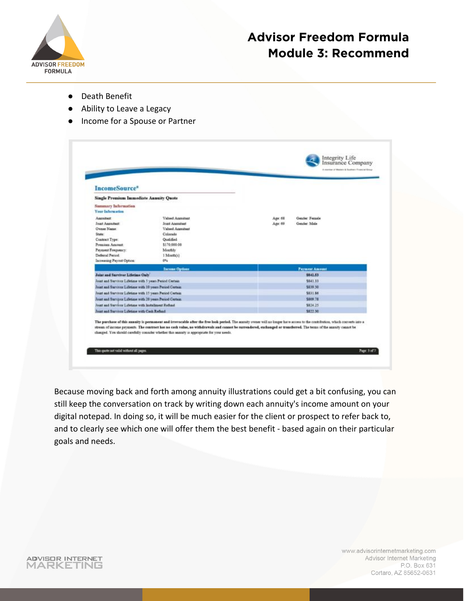

- Death Benefit
- Ability to Leave a Legacy
- Income for a Spouse or Partner

| Gender: Fernale<br>Age: 68<br>Age: 69<br>Gender Male |  |  |
|------------------------------------------------------|--|--|
|                                                      |  |  |
|                                                      |  |  |
|                                                      |  |  |
|                                                      |  |  |
|                                                      |  |  |
|                                                      |  |  |
|                                                      |  |  |
|                                                      |  |  |
|                                                      |  |  |
|                                                      |  |  |
|                                                      |  |  |
| <b>Payment Amount</b>                                |  |  |
| \$841.53                                             |  |  |
| 584133                                               |  |  |
| \$839.50                                             |  |  |
| \$831.86                                             |  |  |
|                                                      |  |  |
| \$809.78                                             |  |  |
| \$824.25                                             |  |  |
| \$822.30                                             |  |  |
|                                                      |  |  |

Because moving back and forth among annuity illustrations could get a bit confusing, you can still keep the conversation on track by writing down each annuity's income amount on your digital notepad. In doing so, it will be much easier for the client or prospect to refer back to, and to clearly see which one will offer them the best benefit - based again on their particular goals and needs.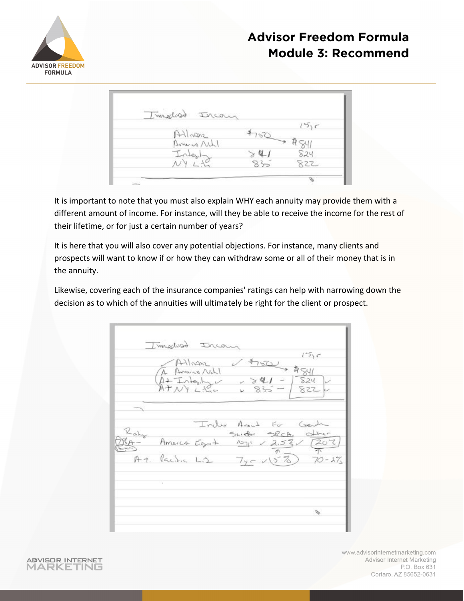

Ircan Timedisat  $155c$  $4750$  $H1num$ मै न्द्रमा Will our  $\times 41$  $824$ 835 822 Ø,

It is important to note that you must also explain WHY each annuity may provide them with a different amount of income. For instance, will they be able to receive the income for the rest of their lifetime, or for just a certain number of years?

It is here that you will also cover any potential objections. For instance, many clients and prospects will want to know if or how they can withdraw some or all of their money that is in the annuity.

Likewise, covering each of the insurance companies' ratings can help with narrowing down the decision as to which of the annuities will ultimately be right for the client or prospect.

Imedist Irca  $155c$ snanlf America Notel Intext ∆∸  $841$  $524$  $832$ 822  $Tn\&x$  And  $\mathop{\mathcal{C}}\nolimits_{\mathbf{C}^{\mu}}$ Gent Suide SPCA. other  $1011 / 2.52$ 1207 Amerca Egg  $\tau$  $\overline{\tau}$  $\mathcal{Z}_{\mathcal{S}}$ Pacific Liz  $7y - \sqrt{5}$  $70 - 27$ 

**ADVISOR INTERNET** MARKETING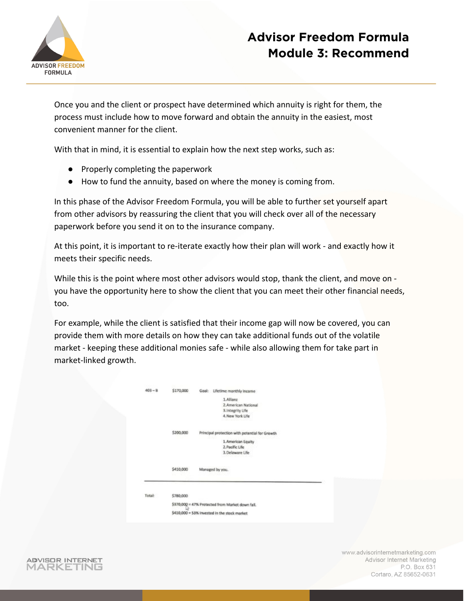

Once you and the client or prospect have determined which annuity is right for them, the process must include how to move forward and obtain the annuity in the easiest, most convenient manner for the client.

With that in mind, it is essential to explain how the next step works, such as:

- Properly completing the paperwork
- How to fund the annuity, based on where the money is coming from.

In this phase of the Advisor Freedom Formula, you will be able to further set yourself apart from other advisors by reassuring the client that you will check over all of the necessary paperwork before you send it on to the insurance company.

At this point, it is important to re-iterate exactly how their plan will work - and exactly how it meets their specific needs.

While this is the point where most other advisors would stop, thank the client, and move on you have the opportunity here to show the client that you can meet their other financial needs, too.

For example, while the client is satisfied that their income gap will now be covered, you can provide them with more details on how they can take additional funds out of the volatile market - keeping these additional monies safe - while also allowing them for take part in market-linked growth.

| $403 - B$ | \$170,000 | Goal: Lifetime monthly income                    |  |  |  |
|-----------|-----------|--------------------------------------------------|--|--|--|
|           |           | 1.Allianz                                        |  |  |  |
|           |           | 2. American National                             |  |  |  |
|           |           | 3. Integrity Life                                |  |  |  |
|           |           | 4. New York Life                                 |  |  |  |
|           | \$200,000 | Principal protection with potential for Growth   |  |  |  |
|           |           | 1. American Equity                               |  |  |  |
|           |           | 2. Pacific Life                                  |  |  |  |
|           |           | 3. Delaware Life                                 |  |  |  |
|           | \$410,000 | Managed by you.                                  |  |  |  |
|           |           |                                                  |  |  |  |
| Total     | \$780,000 |                                                  |  |  |  |
|           |           |                                                  |  |  |  |
|           |           | \$370,000 = 47% Protected from Market down fall. |  |  |  |
|           |           | \$410,000 = 53% invested in the stock market     |  |  |  |

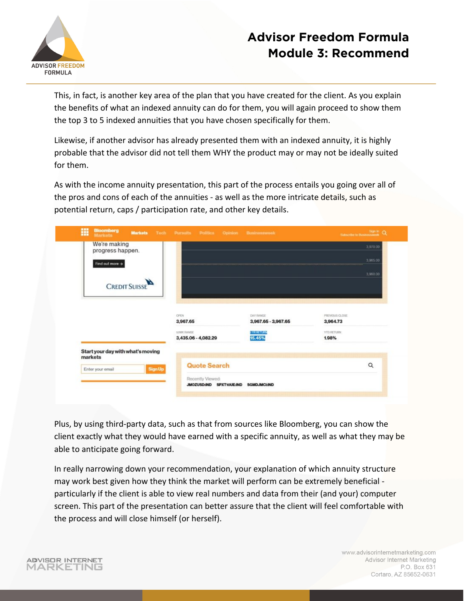

This, in fact, is another key area of the plan that you have created for the client. As you explain the benefits of what an indexed annuity can do for them, you will again proceed to show them the top 3 to 5 indexed annuities that you have chosen specifically for them.

Likewise, if another advisor has already presented them with an indexed annuity, it is highly probable that the advisor did not tell them WHY the product may or may not be ideally suited for them.

As with the income annuity presentation, this part of the process entails you going over all of the pros and cons of each of the annuities - as well as the more intricate details, such as potential return, caps / participation rate, and other key details.

| We're making                                 |                     |                     |                       |
|----------------------------------------------|---------------------|---------------------|-----------------------|
| progress happen.                             |                     |                     | 3,970.00              |
|                                              |                     |                     |                       |
| Find out more $\rightarrow$                  |                     |                     | 3,965.00              |
|                                              |                     |                     | 3,960.00              |
|                                              |                     |                     |                       |
| <b>CREDIT SUISSE</b>                         |                     |                     |                       |
|                                              |                     |                     |                       |
|                                              |                     |                     |                       |
|                                              |                     |                     |                       |
|                                              | OPEN                | DAY RANGE           | <b>FREVIOUS CLOSE</b> |
|                                              | 3,967.65            | 3,967.65 - 3,967.65 | 3,964.73              |
|                                              | <b>ISPANC RANGE</b> | <b>I YR RETURN</b>  | YTO RETURN            |
|                                              | 3,435.06 - 4,082.29 | 15.45%              | 1.98%                 |
|                                              |                     |                     |                       |
| Start your day with what's moving<br>markets |                     |                     |                       |
|                                              | <b>Quote Search</b> |                     | Q                     |
| <b>SignUp</b><br>Enter your email            |                     |                     |                       |
|                                              |                     |                     |                       |
|                                              | Recently Viewed:    |                     |                       |

Plus, by using third-party data, such as that from sources like Bloomberg, you can show the client exactly what they would have earned with a specific annuity, as well as what they may be able to anticipate going forward.

In really narrowing down your recommendation, your explanation of which annuity structure may work best given how they think the market will perform can be extremely beneficial particularly if the client is able to view real numbers and data from their (and your) computer screen. This part of the presentation can better assure that the client will feel comfortable with the process and will close himself (or herself).

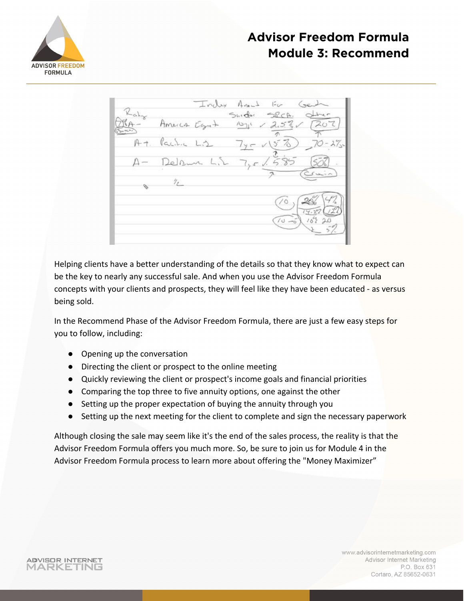

Inly  $Ann-1$  $\leq$ alar Shiduc SPCA- $2.5.2$ Amerca 207 办 78 5 Δ-5.8  $\eta$ 

Helping clients have a better understanding of the details so that they know what to expect can be the key to nearly any successful sale. And when you use the Advisor Freedom Formula concepts with your clients and prospects, they will feel like they have been educated - as versus being sold.

In the Recommend Phase of the Advisor Freedom Formula, there are just a few easy steps for you to follow, including:

- Opening up the conversation
- Directing the client or prospect to the online meeting
- Quickly reviewing the client or prospect's income goals and financial priorities
- Comparing the top three to five annuity options, one against the other
- Setting up the proper expectation of buying the annuity through you
- Setting up the next meeting for the client to complete and sign the necessary paperwork

Although closing the sale may seem like it's the end of the sales process, the reality is that the Advisor Freedom Formula offers you much more. So, be sure to join us for Module 4 in the Advisor Freedom Formula process to learn more about offering the "Money Maximizer"